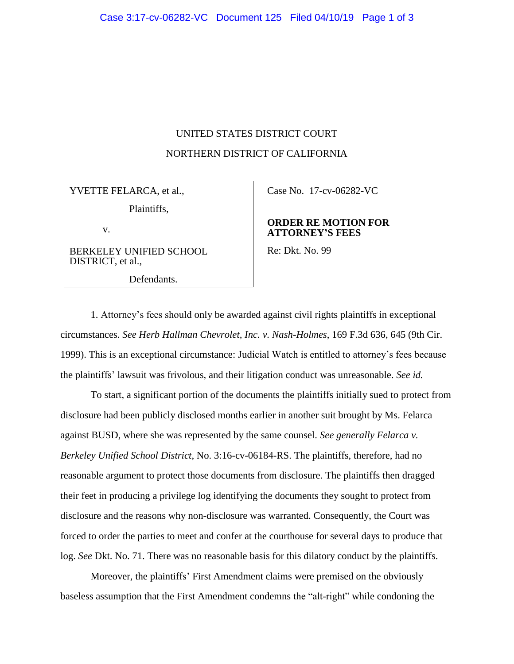## UNITED STATES DISTRICT COURT NORTHERN DISTRICT OF CALIFORNIA

YVETTE FELARCA, et al.,

Plaintiffs,

v.

BERKELEY UNIFIED SCHOOL DISTRICT, et al.,

Defendants.

Case No. [17-cv-06282-VC](https://ecf.cand.uscourts.gov/cgi-bin/DktRpt.pl?318757) 

## **ORDER RE MOTION FOR ATTORNEY'S FEES**

Re: Dkt. No. 99

1. Attorney's fees should only be awarded against civil rights plaintiffs in exceptional circumstances. *See Herb Hallman Chevrolet, Inc. v. Nash-Holmes*, 169 F.3d 636, 645 (9th Cir. 1999). This is an exceptional circumstance: Judicial Watch is entitled to attorney's fees because the plaintiffs' lawsuit was frivolous, and their litigation conduct was unreasonable. *See id.*

To start, a significant portion of the documents the plaintiffs initially sued to protect from disclosure had been publicly disclosed months earlier in another suit brought by Ms. Felarca against BUSD, where she was represented by the same counsel. *See generally Felarca v. Berkeley Unified School District*, No. 3:16-cv-06184-RS. The plaintiffs, therefore, had no reasonable argument to protect those documents from disclosure. The plaintiffs then dragged their feet in producing a privilege log identifying the documents they sought to protect from disclosure and the reasons why non-disclosure was warranted. Consequently, the Court was forced to order the parties to meet and confer at the courthouse for several days to produce that log. *See* Dkt. No. 71. There was no reasonable basis for this dilatory conduct by the plaintiffs.

Moreover, the plaintiffs' First Amendment claims were premised on the obviously baseless assumption that the First Amendment condemns the "alt-right" while condoning the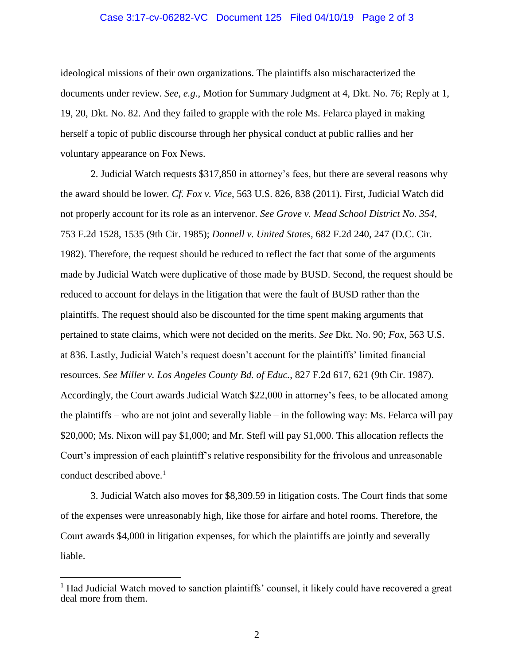## Case 3:17-cv-06282-VC Document 125 Filed 04/10/19 Page 2 of 3

ideological missions of their own organizations. The plaintiffs also mischaracterized the documents under review. *See, e.g.*, Motion for Summary Judgment at 4, Dkt. No. 76; Reply at 1, 19, 20, Dkt. No. 82. And they failed to grapple with the role Ms. Felarca played in making herself a topic of public discourse through her physical conduct at public rallies and her voluntary appearance on Fox News.

2. Judicial Watch requests \$317,850 in attorney's fees, but there are several reasons why the award should be lower. *Cf. Fox v. Vice*, 563 U.S. 826, 838 (2011). First, Judicial Watch did not properly account for its role as an intervenor. *See Grove v. Mead School District No. 354*, 753 F.2d 1528, 1535 (9th Cir. 1985); *Donnell v. United States*, 682 F.2d 240, 247 (D.C. Cir. 1982). Therefore, the request should be reduced to reflect the fact that some of the arguments made by Judicial Watch were duplicative of those made by BUSD. Second, the request should be reduced to account for delays in the litigation that were the fault of BUSD rather than the plaintiffs. The request should also be discounted for the time spent making arguments that pertained to state claims, which were not decided on the merits. *See* Dkt. No. 90; *Fox*, 563 U.S. at 836. Lastly, Judicial Watch's request doesn't account for the plaintiffs' limited financial resources. *See Miller v. Los Angeles County Bd. of Educ.*, 827 F.2d 617, 621 (9th Cir. 1987). Accordingly, the Court awards Judicial Watch \$22,000 in attorney's fees, to be allocated among the plaintiffs – who are not joint and severally liable – in the following way: Ms. Felarca will pay \$20,000; Ms. Nixon will pay \$1,000; and Mr. Stefl will pay \$1,000. This allocation reflects the Court's impression of each plaintiff's relative responsibility for the frivolous and unreasonable conduct described above.<sup>1</sup>

3. Judicial Watch also moves for \$8,309.59 in litigation costs. The Court finds that some of the expenses were unreasonably high, like those for airfare and hotel rooms. Therefore, the Court awards \$4,000 in litigation expenses, for which the plaintiffs are jointly and severally liable.

 $\overline{a}$ 

<sup>&</sup>lt;sup>1</sup> Had Judicial Watch moved to sanction plaintiffs' counsel, it likely could have recovered a great deal more from them.